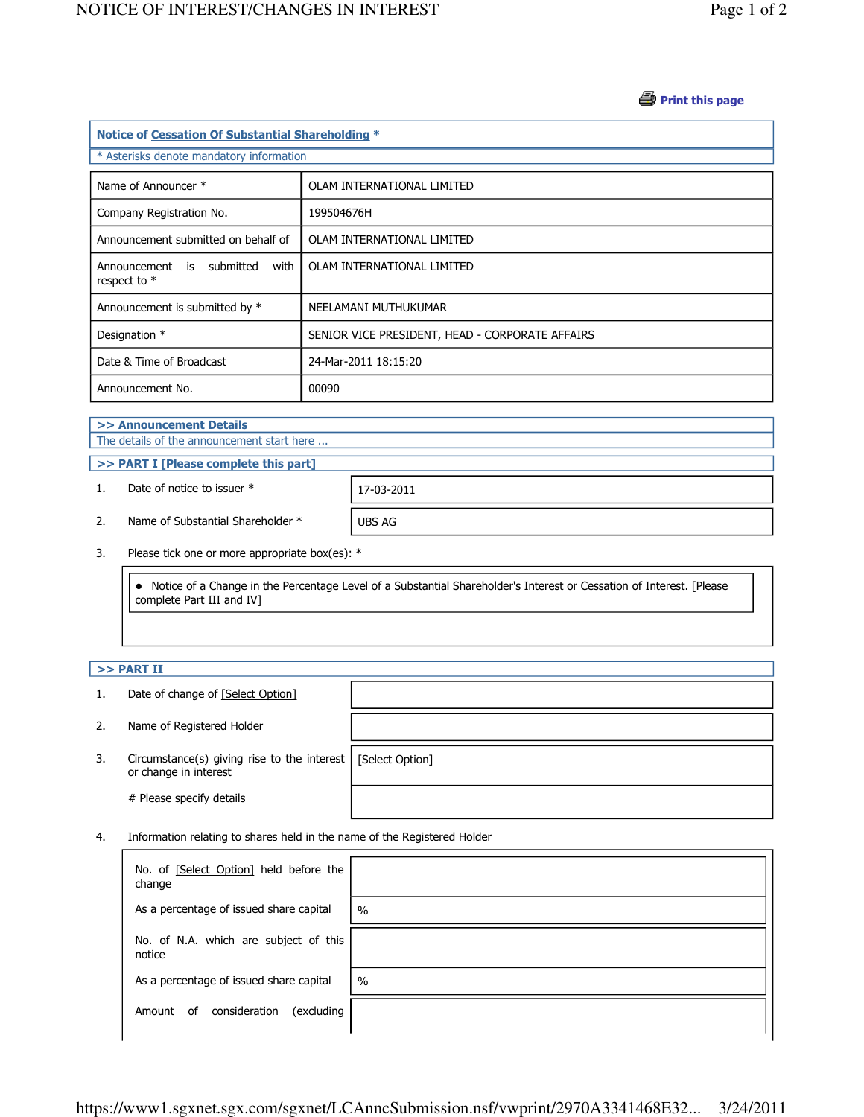## *A* Print this page

| Notice of Cessation Of Substantial Shareholding *   |                                                 |  |  |  |
|-----------------------------------------------------|-------------------------------------------------|--|--|--|
| * Asterisks denote mandatory information            |                                                 |  |  |  |
| Name of Announcer *                                 | OLAM INTERNATIONAL LIMITED                      |  |  |  |
| Company Registration No.                            | 199504676H                                      |  |  |  |
| Announcement submitted on behalf of                 | OLAM INTERNATIONAL LIMITED                      |  |  |  |
| Announcement is submitted<br>with<br>respect to $*$ | OLAM INTERNATIONAL LIMITED                      |  |  |  |
| Announcement is submitted by *                      | NEELAMANI MUTHUKUMAR                            |  |  |  |
| Designation *                                       | SENIOR VICE PRESIDENT, HEAD - CORPORATE AFFAIRS |  |  |  |
| Date & Time of Broadcast                            | 24-Mar-2011 18:15:20                            |  |  |  |
| Announcement No.                                    | 00090                                           |  |  |  |

# >> Announcement Details

The details of the announcement start here ...

#### >> PART I [Please complete this part]

1. Date of notice to issuer \* 17-03-2011

2. Name of Substantial Shareholder \* UBS AG

3. Please tick one or more appropriate box(es): \*

 Notice of a Change in the Percentage Level of a Substantial Shareholder's Interest or Cessation of Interest. [Please complete Part III and IV]

### $>>$  PART II

- 1. Date of change of [Select Option]
- 2. Name of Registered Holder
- 3. Circumstance(s) giving rise to the interest [Select Option] or change in interest

# Please specify details

4. Information relating to shares held in the name of the Registered Holder

| No. of [Select Option] held before the<br>change |               |
|--------------------------------------------------|---------------|
| As a percentage of issued share capital          | $\frac{0}{0}$ |
| No. of N.A. which are subject of this<br>notice  |               |
| As a percentage of issued share capital          | $\frac{0}{0}$ |
| consideration<br>(excluding<br>0f<br>Amount      |               |